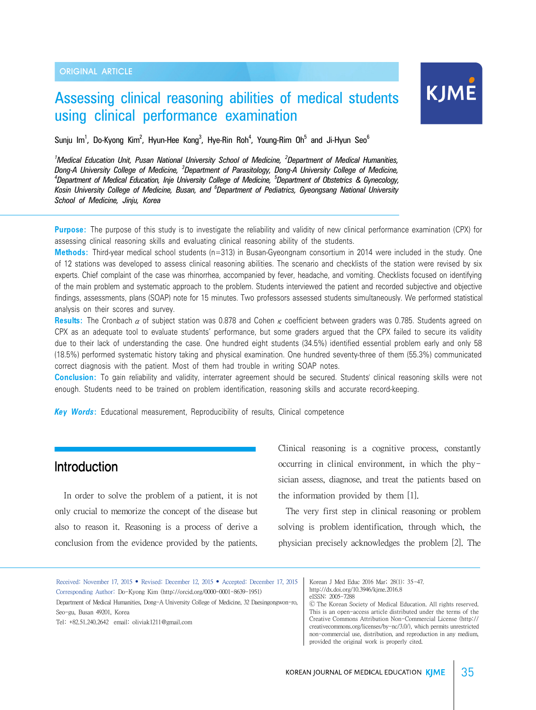## Assessing clinical reasoning abilities of medical students using clinical performance examination

# KJME

Sunju Im<sup>1</sup>, Do-Kyong Kim<sup>2</sup>, Hyun-Hee Kong<sup>3</sup>, Hye-Rin Roh<sup>4</sup>, Young-Rim Oh<sup>5</sup> and Ji-Hyun Seo<sup>6</sup>

<sup>1</sup> Medical Education Unit, Pusan National University School of Medicine, <sup>2</sup> Department of Medical Humanities, *Dong-A University College of Medicine, <sup>3</sup> Department of Parasitology, Dong-A University College of Medicine, <sup>4</sup> Department of Medical Education, Inje University College of Medicine, <sup>5</sup> Department of Obstetrics & Gynecology, Kosin University College of Medicine, Busan, and <sup>6</sup> Department of Pediatrics, Gyeongsang National University School of Medicine, Jinju, Korea*

**Purpose:** The purpose of this study is to investigate the reliability and validity of new clinical performance examination (CPX) for assessing clinical reasoning skills and evaluating clinical reasoning ability of the students.

**Methods:** Third-year medical school students (n=313) in Busan-Gyeongnam consortium in 2014 were included in the study. One of 12 stations was developed to assess clinical reasoning abilities. The scenario and checklists of the station were revised by six experts. Chief complaint of the case was rhinorrhea, accompanied by fever, headache, and vomiting. Checklists focused on identifying of the main problem and systematic approach to the problem. Students interviewed the patient and recorded subjective and objective findings, assessments, plans (SOAP) note for 15 minutes. Two professors assessed students simultaneously. We performed statistical analysis on their scores and survey.

**Results:** The Cronbach α of subject station was 0.878 and Cohen κ coefficient between graders was 0.785. Students agreed on CPX as an adequate tool to evaluate students' performance, but some graders argued that the CPX failed to secure its validity due to their lack of understanding the case. One hundred eight students (34.5%) identified essential problem early and only 58 (18.5%) performed systematic history taking and physical examination. One hundred seventy-three of them (55.3%) communicated correct diagnosis with the patient. Most of them had trouble in writing SOAP notes.

**Conclusion:** To gain reliability and validity, interrater agreement should be secured. Students' clinical reasoning skills were not enough. Students need to be trained on problem identification, reasoning skills and accurate record-keeping.

*Key Words***:** Educational measurement, Reproducibility of results, Clinical competence

## Introduction

In order to solve the problem of a patient, it is not only crucial to memorize the concept of the disease but also to reason it. Reasoning is a process of derive a conclusion from the evidence provided by the patients. Clinical reasoning is a cognitive process, constantly occurring in clinical environment, in which the physician assess, diagnose, and treat the patients based on the information provided by them [1].

 The very first step in clinical reasoning or problem solving is problem identification, through which, the physician precisely acknowledges the problem [2]. The

Received: November 17, 2015 • Revised: December 12, 2015 • Accepted: December 17, 2015 Corresponding Author: Do-Kyong Kim (http://orcid.org/0000-0001-8639-1951) Department of Medical Humanities, Dong-A University College of Medicine, 32 Daesingongwon-ro,

Seo-gu, Busan 49201, Korea

Tel: +82.51.240.2642 email: oliviak1211@gmail.com

Korean J Med Educ 2016 Mar; 28(1): 35-47. http://dx.doi.org/10.3946/kjme.2016.8 eISSN: 2005-7288

Ⓒ The Korean Society of Medical Education. All rights reserved. This is an open-access article distributed under the terms of the Creative Commons Attribution Non-Commercial License (http:// creativecommons.org/licenses/by-nc/3.0/), which permits unrestricted non-commercial use, distribution, and reproduction in any medium, provided the original work is properly cited.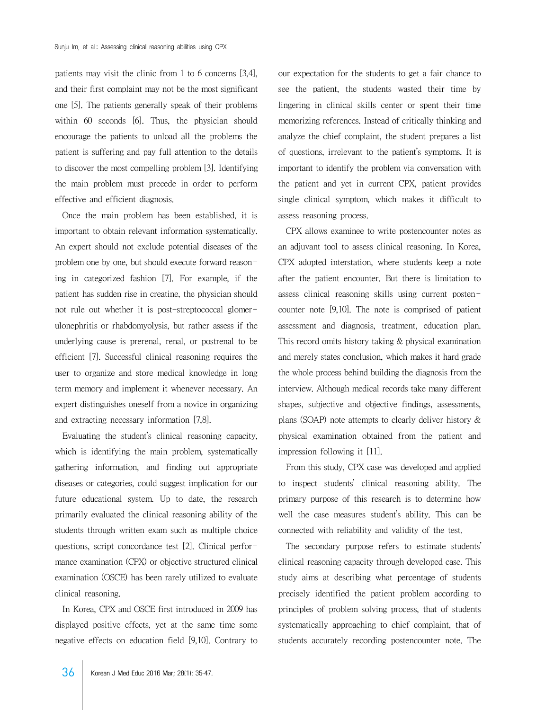patients may visit the clinic from 1 to 6 concerns [3,4], and their first complaint may not be the most significant one [5]. The patients generally speak of their problems within 60 seconds [6]. Thus, the physician should encourage the patients to unload all the problems the patient is suffering and pay full attention to the details to discover the most compelling problem [3]. Identifying the main problem must precede in order to perform effective and efficient diagnosis.

 Once the main problem has been established, it is important to obtain relevant information systematically. An expert should not exclude potential diseases of the problem one by one, but should execute forward reasoning in categorized fashion [7]. For example, if the patient has sudden rise in creatine, the physician should not rule out whether it is post-streptococcal glomerulonephritis or rhabdomyolysis, but rather assess if the underlying cause is prerenal, renal, or postrenal to be efficient [7]. Successful clinical reasoning requires the user to organize and store medical knowledge in long term memory and implement it whenever necessary. An expert distinguishes oneself from a novice in organizing and extracting necessary information [7,8].

 Evaluating the student's clinical reasoning capacity, which is identifying the main problem, systematically gathering information, and finding out appropriate diseases or categories, could suggest implication for our future educational system. Up to date, the research primarily evaluated the clinical reasoning ability of the students through written exam such as multiple choice questions, script concordance test [2]. Clinical performance examination (CPX) or objective structured clinical examination (OSCE) has been rarely utilized to evaluate clinical reasoning.

 In Korea, CPX and OSCE first introduced in 2009 has displayed positive effects, yet at the same time some negative effects on education field [9,10]. Contrary to our expectation for the students to get a fair chance to see the patient, the students wasted their time by lingering in clinical skills center or spent their time memorizing references. Instead of critically thinking and analyze the chief complaint, the student prepares a list of questions, irrelevant to the patient's symptoms. It is important to identify the problem via conversation with the patient and yet in current CPX, patient provides single clinical symptom, which makes it difficult to assess reasoning process.

 CPX allows examinee to write postencounter notes as an adjuvant tool to assess clinical reasoning. In Korea, CPX adopted interstation, where students keep a note after the patient encounter. But there is limitation to assess clinical reasoning skills using current postencounter note [9,10]. The note is comprised of patient assessment and diagnosis, treatment, education plan. This record omits history taking & physical examination and merely states conclusion, which makes it hard grade the whole process behind building the diagnosis from the interview. Although medical records take many different shapes, subjective and objective findings, assessments, plans (SOAP) note attempts to clearly deliver history & physical examination obtained from the patient and impression following it [11].

 From this study, CPX case was developed and applied to inspect students' clinical reasoning ability. The primary purpose of this research is to determine how well the case measures student's ability. This can be connected with reliability and validity of the test.

 The secondary purpose refers to estimate students' clinical reasoning capacity through developed case. This study aims at describing what percentage of students precisely identified the patient problem according to principles of problem solving process, that of students systematically approaching to chief complaint, that of students accurately recording postencounter note. The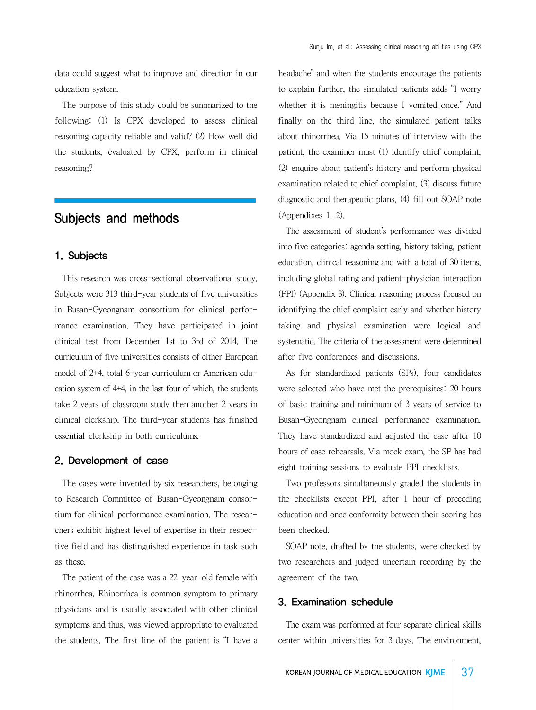data could suggest what to improve and direction in our education system.

 The purpose of this study could be summarized to the following: (1) Is CPX developed to assess clinical reasoning capacity reliable and valid? (2) How well did the students, evaluated by CPX, perform in clinical reasoning?

## Subjects and methods

## 1. Subjects

 This research was cross-sectional observational study. Subjects were 313 third-year students of five universities in Busan-Gyeongnam consortium for clinical performance examination. They have participated in joint clinical test from December 1st to 3rd of 2014. The curriculum of five universities consists of either European model of 2+4, total 6-year curriculum or American education system of 4+4, in the last four of which, the students take 2 years of classroom study then another 2 years in clinical clerkship. The third-year students has finished essential clerkship in both curriculums.

#### 2. Development of case

 The cases were invented by six researchers, belonging to Research Committee of Busan-Gyeongnam consortium for clinical performance examination. The researchers exhibit highest level of expertise in their respective field and has distinguished experience in task such as these.

 The patient of the case was a 22-year-old female with rhinorrhea. Rhinorrhea is common symptom to primary physicians and is usually associated with other clinical symptoms and thus, was viewed appropriate to evaluated the students. The first line of the patient is "I have a headache" and when the students encourage the patients to explain further, the simulated patients adds "I worry whether it is meningitis because I vomited once." And finally on the third line, the simulated patient talks about rhinorrhea. Via 15 minutes of interview with the patient, the examiner must (1) identify chief complaint, (2) enquire about patient's history and perform physical examination related to chief complaint, (3) discuss future diagnostic and therapeutic plans, (4) fill out SOAP note (Appendixes 1, 2).

 The assessment of student's performance was divided into five categories: agenda setting, history taking, patient education, clinical reasoning and with a total of 30 items, including global rating and patient-physician interaction (PPI) (Appendix 3). Clinical reasoning process focused on identifying the chief complaint early and whether history taking and physical examination were logical and systematic. The criteria of the assessment were determined after five conferences and discussions.

 As for standardized patients (SPs), four candidates were selected who have met the prerequisites: 20 hours of basic training and minimum of 3 years of service to Busan-Gyeongnam clinical performance examination. They have standardized and adjusted the case after 10 hours of case rehearsals. Via mock exam, the SP has had eight training sessions to evaluate PPI checklists.

 Two professors simultaneously graded the students in the checklists except PPI, after 1 hour of preceding education and once conformity between their scoring has been checked.

 SOAP note, drafted by the students, were checked by two researchers and judged uncertain recording by the agreement of the two.

#### 3. Examination schedule

 The exam was performed at four separate clinical skills center within universities for 3 days. The environment,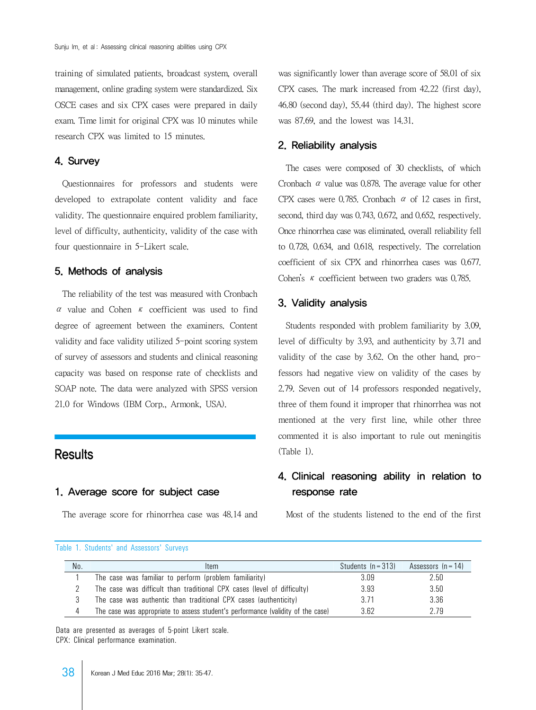training of simulated patients, broadcast system, overall management, online grading system were standardized. Six OSCE cases and six CPX cases were prepared in daily exam. Time limit for original CPX was 10 minutes while research CPX was limited to 15 minutes.

## 4. Survey

 Questionnaires for professors and students were developed to extrapolate content validity and face validity. The questionnaire enquired problem familiarity, level of difficulty, authenticity, validity of the case with four questionnaire in 5-Likert scale.

#### 5. Methods of analysis

 The reliability of the test was measured with Cronbach α value and Cohen κ coefficient was used to find degree of agreement between the examiners. Content validity and face validity utilized 5-point scoring system of survey of assessors and students and clinical reasoning capacity was based on response rate of checklists and SOAP note. The data were analyzed with SPSS version 21.0 for Windows (IBM Corp., Armonk, USA).

## **Results**

## 1. Average score for subject case

The average score for rhinorrhea case was 48.14 and

was significantly lower than average score of 58.01 of six CPX cases. The mark increased from 42.22 (first day), 46.80 (second day), 55.44 (third day). The highest score was 87.69, and the lowest was 14.31.

#### 2. Reliability analysis

 The cases were composed of 30 checklists, of which Cronbach  $\alpha$  value was 0.878. The average value for other CPX cases were 0.785. Cronbach  $\alpha$  of 12 cases in first, second, third day was 0.743, 0.672, and 0.652, respectively. Once rhinorrhea case was eliminated, overall reliability fell to 0.728, 0.634, and 0.618, respectively. The correlation coefficient of six CPX and rhinorrhea cases was 0.677. Cohen's κ coefficient between two graders was 0.785.

## 3. Validity analysis

 Students responded with problem familiarity by 3.09, level of difficulty by 3.93, and authenticity by 3.71 and validity of the case by 3.62. On the other hand, professors had negative view on validity of the cases by 2.79. Seven out of 14 professors responded negatively, three of them found it improper that rhinorrhea was not mentioned at the very first line, while other three commented it is also important to rule out meningitis (Table 1).

## 4. Clinical reasoning ability in relation to response rate

Most of the students listened to the end of the first

|  |  |  |  | Table 1. Students' and Assessors' Surveys |  |  |
|--|--|--|--|-------------------------------------------|--|--|
|--|--|--|--|-------------------------------------------|--|--|

| No. | Item                                                                            | Students $(n = 313)$ | Assessors $(n = 14)$ |
|-----|---------------------------------------------------------------------------------|----------------------|----------------------|
|     | The case was familiar to perform (problem familiarity)                          | 3.09                 | 2.50                 |
|     | The case was difficult than traditional CPX cases (level of difficulty)         | 3.93                 | 3.50                 |
|     | The case was authentic than traditional CPX cases (authenticity)                | 3.71                 | 3.36                 |
| 4   | The case was appropriate to assess student's performance (validity of the case) | 3.62                 | 2.79                 |

Data are presented as averages of 5-point Likert scale. CPX: Clinical performance examination.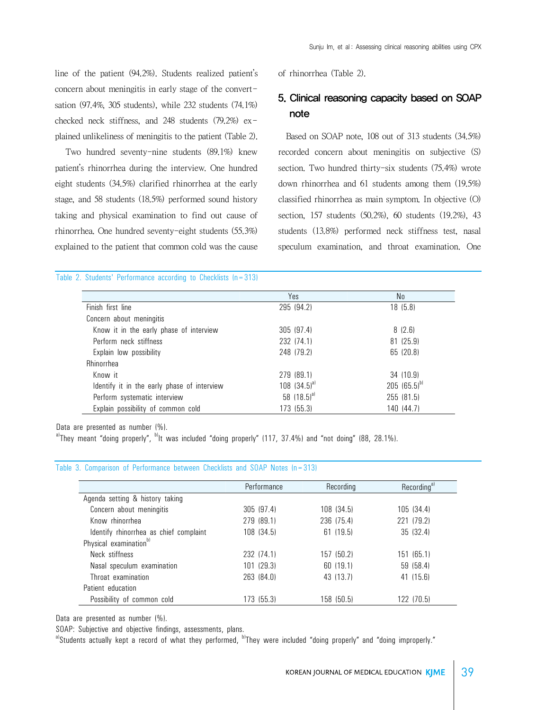line of the patient (94.2%). Students realized patient's concern about meningitis in early stage of the convertsation (97.4%, 305 students), while 232 students (74.1%) checked neck stiffness, and 248 students (79.2%) explained unlikeliness of meningitis to the patient (Table 2).

 Two hundred seventy-nine students (89.1%) knew patient's rhinorrhea during the interview. One hundred eight students (34.5%) clarified rhinorrhea at the early stage, and 58 students (18.5%) performed sound history taking and physical examination to find out cause of rhinorrhea. One hundred seventy-eight students (55.3%) explained to the patient that common cold was the cause

of rhinorrhea (Table 2).

## 5. Clinical reasoning capacity based on SOAP note

 Based on SOAP note, 108 out of 313 students (34.5%) recorded concern about meningitis on subjective (S) section. Two hundred thirty-six students (75.4%) wrote down rhinorrhea and 61 students among them (19.5%) classified rhinorrhea as main symptom. In objective (O) section, 157 students (50.2%), 60 students (19.2%), 43 students (13.8%) performed neck stiffness test, nasal speculum examination, and throat examination. One

#### Table 2. Students' Performance according to Checklists (n=313)

|                                             | Yes              | No               |
|---------------------------------------------|------------------|------------------|
| Finish first line                           | 295 (94.2)       | 18 (5.8)         |
| Concern about meningitis                    |                  |                  |
| Know it in the early phase of interview     | 305(97.4)        | 8(2.6)           |
| Perform neck stiffness                      | 232 (74.1)       | 81 (25.9)        |
| Explain low possibility                     | 248 (79.2)       | 65 (20.8)        |
| Rhinorrhea                                  |                  |                  |
| Know it                                     | 279 (89.1)       | 34 (10.9)        |
| Identify it in the early phase of interview | 108 $(34.5)^{a}$ | 205 $(65.5)^{b}$ |
| Perform systematic interview                | 58 $(18.5)^{a}$  | 255 (81.5)       |
| Explain possibility of common cold          | 173 (55.3)       | 140 (44.7)       |

Data are presented as number (%).

 $a$ <sup>1</sup>They meant "doing properly",  $b$ <sup>1</sup>lt was included "doing properly" (117, 37.4%) and "not doing" (88, 28.1%).

#### Table 3. Comparison of Performance between Checklists and SOAP Notes (n=313)

|                                        | Performance | Recording  | Recording <sup>a)</sup> |
|----------------------------------------|-------------|------------|-------------------------|
| Agenda setting & history taking        |             |            |                         |
| Concern about meningitis               | 305 (97.4)  | 108 (34.5) | 105 (34.4)              |
| Know rhinorrhea                        | 279 (89.1)  | 236 (75.4) | 221 (79.2)              |
| Identify rhinorrhea as chief complaint | 108 (34.5)  | 61 (19.5)  | 35 (32.4)               |
| Physical examination <sup>b)</sup>     |             |            |                         |
| Neck stiffness                         | 232 (74.1)  | 157 (50.2) | 151 (65.1)              |
| Nasal speculum examination             | 101(29.3)   | 60 (19.1)  | 59 (58.4)               |
| Throat examination                     | 263 (84.0)  | 43 (13.7)  | 41 (15.6)               |
| Patient education                      |             |            |                         |
| Possibility of common cold             | 173 (55.3)  | 158 (50.5) | 122 (70.5)              |

Data are presented as number (%).

SOAP: Subjective and objective findings, assessments, plans.

a)Students actually kept a record of what they performed, <sup>b)</sup>They were included "doing properly" and "doing improperly."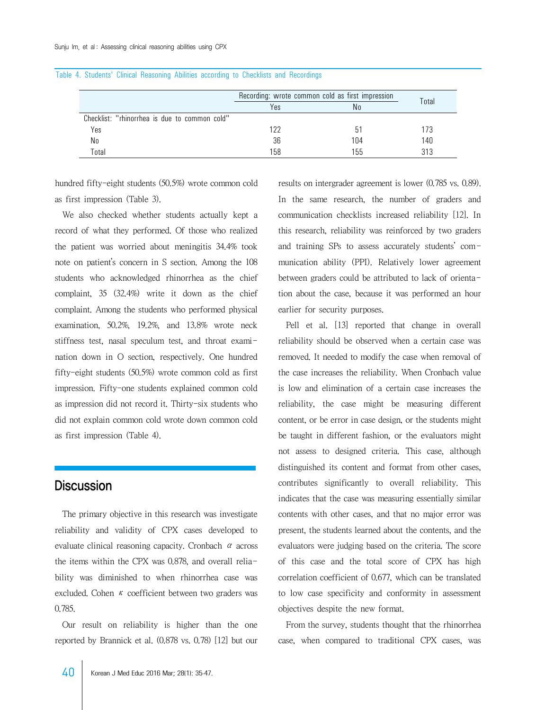|                                               | Recording: wrote common cold as first impression | Total |     |
|-----------------------------------------------|--------------------------------------------------|-------|-----|
|                                               | Yes                                              | Nο    |     |
| Checklist: "rhinorrhea is due to common cold" |                                                  |       |     |
| Yes                                           | 122                                              | h1    | 173 |
| No                                            | 36                                               | 104   | 140 |
| Total                                         | 158                                              | 155   | 313 |

#### Table 4. Students' Clinical Reasoning Abilities according to Checklists and Recordings

hundred fifty-eight students (50.5%) wrote common cold as first impression (Table 3).

 We also checked whether students actually kept a record of what they performed. Of those who realized the patient was worried about meningitis 34.4% took note on patient's concern in S section. Among the 108 students who acknowledged rhinorrhea as the chief complaint, 35 (32.4%) write it down as the chief complaint. Among the students who performed physical examination, 50.2%, 19.2%, and 13.8% wrote neck stiffness test, nasal speculum test, and throat examination down in O section, respectively. One hundred fifty-eight students (50.5%) wrote common cold as first impression. Fifty-one students explained common cold as impression did not record it. Thirty-six students who did not explain common cold wrote down common cold as first impression (Table 4).

## **Discussion**

 The primary objective in this research was investigate reliability and validity of CPX cases developed to evaluate clinical reasoning capacity. Cronbach  $\alpha$  across the items within the CPX was 0.878, and overall reliability was diminished to when rhinorrhea case was excluded. Cohen  $\kappa$  coefficient between two graders was 0.785.

 Our result on reliability is higher than the one reported by Brannick et al. (0.878 vs. 0.78) [12] but our results on intergrader agreement is lower (0.785 vs. 0.89). In the same research, the number of graders and communication checklists increased reliability [12]. In this research, reliability was reinforced by two graders and training SPs to assess accurately students' communication ability (PPI). Relatively lower agreement between graders could be attributed to lack of orientation about the case, because it was performed an hour earlier for security purposes.

 Pell et al. [13] reported that change in overall reliability should be observed when a certain case was removed. It needed to modify the case when removal of the case increases the reliability. When Cronbach value is low and elimination of a certain case increases the reliability, the case might be measuring different content, or be error in case design, or the students might be taught in different fashion, or the evaluators might not assess to designed criteria. This case, although distinguished its content and format from other cases, contributes significantly to overall reliability. This indicates that the case was measuring essentially similar contents with other cases, and that no major error was present, the students learned about the contents, and the evaluators were judging based on the criteria. The score of this case and the total score of CPX has high correlation coefficient of 0.677, which can be translated to low case specificity and conformity in assessment objectives despite the new format.

 From the survey, students thought that the rhinorrhea case, when compared to traditional CPX cases, was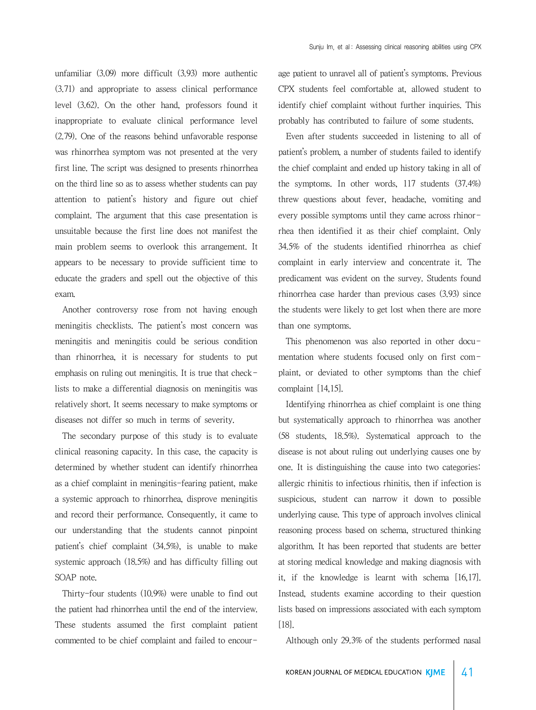unfamiliar (3.09) more difficult (3.93) more authentic (3.71) and appropriate to assess clinical performance level (3.62). On the other hand, professors found it inappropriate to evaluate clinical performance level (2.79). One of the reasons behind unfavorable response was rhinorrhea symptom was not presented at the very first line. The script was designed to presents rhinorrhea on the third line so as to assess whether students can pay attention to patient's history and figure out chief complaint. The argument that this case presentation is unsuitable because the first line does not manifest the main problem seems to overlook this arrangement. It appears to be necessary to provide sufficient time to educate the graders and spell out the objective of this exam.

 Another controversy rose from not having enough meningitis checklists. The patient's most concern was meningitis and meningitis could be serious condition than rhinorrhea, it is necessary for students to put emphasis on ruling out meningitis. It is true that checklists to make a differential diagnosis on meningitis was relatively short. It seems necessary to make symptoms or diseases not differ so much in terms of severity.

 The secondary purpose of this study is to evaluate clinical reasoning capacity. In this case, the capacity is determined by whether student can identify rhinorrhea as a chief complaint in meningitis-fearing patient, make a systemic approach to rhinorrhea, disprove meningitis and record their performance. Consequently, it came to our understanding that the students cannot pinpoint patient's chief complaint (34.5%), is unable to make systemic approach (18.5%) and has difficulty filling out SOAP note.

 Thirty-four students (10.9%) were unable to find out the patient had rhinorrhea until the end of the interview. These students assumed the first complaint patient commented to be chief complaint and failed to encourage patient to unravel all of patient's symptoms. Previous CPX students feel comfortable at, allowed student to identify chief complaint without further inquiries. This probably has contributed to failure of some students.

 Even after students succeeded in listening to all of patient's problem, a number of students failed to identify the chief complaint and ended up history taking in all of the symptoms. In other words, 117 students (37.4%) threw questions about fever, headache, vomiting and every possible symptoms until they came across rhinorrhea then identified it as their chief complaint. Only 34.5% of the students identified rhinorrhea as chief complaint in early interview and concentrate it. The predicament was evident on the survey. Students found rhinorrhea case harder than previous cases (3.93) since the students were likely to get lost when there are more than one symptoms.

This phenomenon was also reported in other documentation where students focused only on first complaint, or deviated to other symptoms than the chief complaint [14,15].

 Identifying rhinorrhea as chief complaint is one thing but systematically approach to rhinorrhea was another (58 students, 18.5%). Systematical approach to the disease is not about ruling out underlying causes one by one. It is distinguishing the cause into two categories: allergic rhinitis to infectious rhinitis, then if infection is suspicious, student can narrow it down to possible underlying cause. This type of approach involves clinical reasoning process based on schema, structured thinking algorithm. It has been reported that students are better at storing medical knowledge and making diagnosis with it, if the knowledge is learnt with schema [16,17]. Instead, students examine according to their question lists based on impressions associated with each symptom [18].

Although only 29.3% of the students performed nasal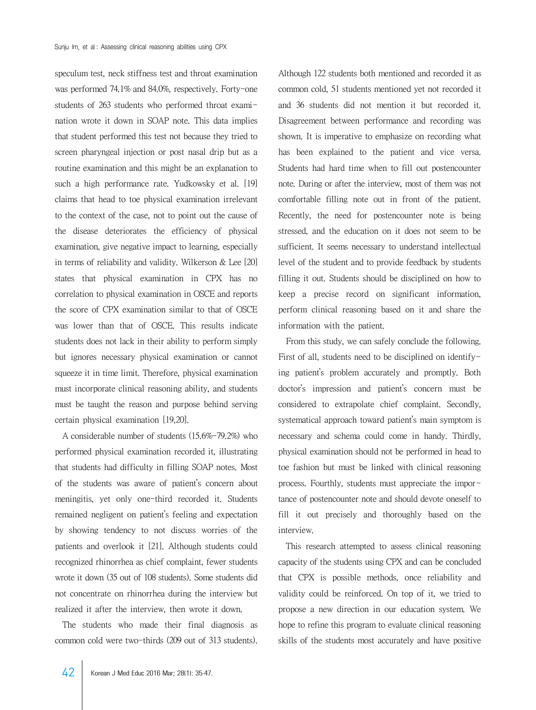speculum test, neck stiffness test and throat examination was performed 74.1% and 84.0%, respectively. Forty-one students of 263 students who performed throat examination wrote it down in SOAP note. This data implies that student performed this test not because they tried to screen pharyngeal injection or post nasal drip but as a routine examination and this might be an explanation to such a high performance rate. Yudkowsky et al. [19] claims that head to toe physical examination irrelevant to the context of the case, not to point out the cause of the disease deteriorates the efficiency of physical examination, give negative impact to learning, especially in terms of reliability and validity. Wilkerson & Lee [20] states that physical examination in CPX has no correlation to physical examination in OSCE and reports the score of CPX examination similar to that of OSCE was lower than that of OSCE. This results indicate students does not lack in their ability to perform simply but ignores necessary physical examination or cannot squeeze it in time limit. Therefore, physical examination must incorporate clinical reasoning ability, and students must be taught the reason and purpose behind serving certain physical examination [19,20].

 A considerable number of students (15.6%-79.2%) who performed physical examination recorded it, illustrating that students had difficulty in filling SOAP notes. Most of the students was aware of patient's concern about meningitis, yet only one-third recorded it. Students remained negligent on patient's feeling and expectation by showing tendency to not discuss worries of the patients and overlook it [21]. Although students could recognized rhinorrhea as chief complaint, fewer students wrote it down (35 out of 108 students). Some students did not concentrate on rhinorrhea during the interview but realized it after the interview, then wrote it down.

 The students who made their final diagnosis as common cold were two-thirds (209 out of 313 students).

Although 122 students both mentioned and recorded it as common cold, 51 students mentioned yet not recorded it and 36 students did not mention it but recorded it. Disagreement between performance and recording was shown. It is imperative to emphasize on recording what has been explained to the patient and vice versa. Students had hard time when to fill out postencounter note. During or after the interview, most of them was not comfortable filling note out in front of the patient. Recently, the need for postencounter note is being stressed, and the education on it does not seem to be sufficient. It seems necessary to understand intellectual level of the student and to provide feedback by students filling it out. Students should be disciplined on how to keep a precise record on significant information, perform clinical reasoning based on it and share the information with the patient.

 From this study, we can safely conclude the following. First of all, students need to be disciplined on identifying patient's problem accurately and promptly. Both doctor's impression and patient's concern must be considered to extrapolate chief complaint. Secondly, systematical approach toward patient's main symptom is necessary and schema could come in handy. Thirdly, physical examination should not be performed in head to toe fashion but must be linked with clinical reasoning process. Fourthly, students must appreciate the importance of postencounter note and should devote oneself to fill it out precisely and thoroughly based on the interview.

 This research attempted to assess clinical reasoning capacity of the students using CPX and can be concluded that CPX is possible methods, once reliability and validity could be reinforced. On top of it, we tried to propose a new direction in our education system. We hope to refine this program to evaluate clinical reasoning skills of the students most accurately and have positive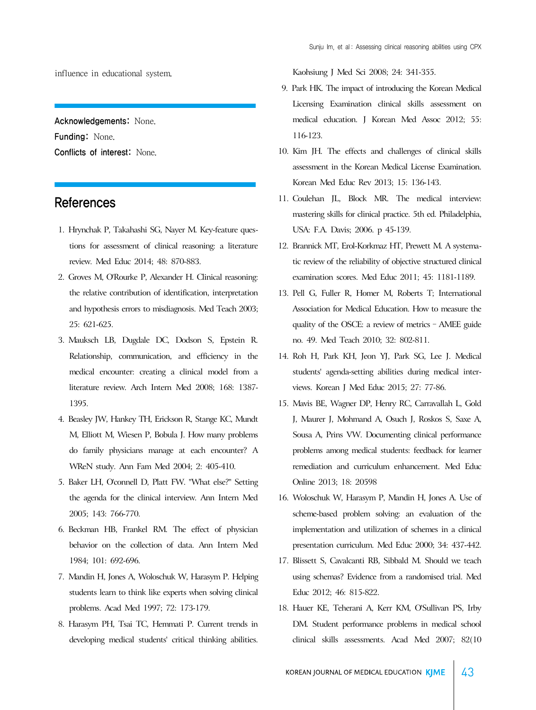influence in educational system.

Acknowledgements: None. Funding: None. Conflicts of interest: None.

## References

- 1. Hrynchak P, Takahashi SG, Nayer M. Key-feature questions for assessment of clinical reasoning: a literature review. Med Educ 2014; 48: 870-883.
- 2. Groves M, O'Rourke P, Alexander H. Clinical reasoning: the relative contribution of identification, interpretation and hypothesis errors to misdiagnosis. Med Teach 2003; 25: 621-625.
- 3. Mauksch LB, Dugdale DC, Dodson S, Epstein R. Relationship, communication, and efficiency in the medical encounter: creating a clinical model from a literature review. Arch Intern Med 2008; 168: 1387- 1395.
- 4. Beasley JW, Hankey TH, Erickson R, Stange KC, Mundt M, Elliott M, Wiesen P, Bobula J. How many problems do family physicians manage at each encounter? A WReN study. Ann Fam Med 2004; 2: 405-410.
- 5. Baker LH, O'connell D, Platt FW. "What else?" Setting the agenda for the clinical interview. Ann Intern Med 2005; 143: 766-770.
- 6. Beckman HB, Frankel RM. The effect of physician behavior on the collection of data. Ann Intern Med 1984; 101: 692-696.
- 7. Mandin H, Jones A, Woloschuk W, Harasym P. Helping students learn to think like experts when solving clinical problems. Acad Med 1997; 72: 173-179.
- 8. Harasym PH, Tsai TC, Hemmati P. Current trends in developing medical students' critical thinking abilities.

Kaohsiung J Med Sci 2008; 24: 341-355.

- 9. Park HK. The impact of introducing the Korean Medical Licensing Examination clinical skills assessment on medical education. J Korean Med Assoc 2012; 55: 116-123.
- 10. Kim JH. The effects and challenges of clinical skills assessment in the Korean Medical License Examination. Korean Med Educ Rev 2013; 15: 136-143.
- 11. Coulehan JL, Block MR. The medical interview: mastering skills for clinical practice. 5th ed. Philadelphia, USA: F.A. Davis; 2006. p 45-139.
- 12. Brannick MT, Erol-Korkmaz HT, Prewett M. A systematic review of the reliability of objective structured clinical examination scores. Med Educ 2011; 45: 1181-1189.
- 13. Pell G, Fuller R, Homer M, Roberts T; International Association for Medical Education. How to measure the quality of the OSCE: a review of metrics – AMEE guide no. 49. Med Teach 2010; 32: 802-811.
- 14. Roh H, Park KH, Jeon YJ, Park SG, Lee J. Medical students' agenda-setting abilities during medical interviews. Korean J Med Educ 2015; 27: 77-86.
- 15. Mavis BE, Wagner DP, Henry RC, Carravallah L, Gold J, Maurer J, Mohmand A, Osuch J, Roskos S, Saxe A, Sousa A, Prins VW. Documenting clinical performance problems among medical students: feedback for learner remediation and curriculum enhancement. Med Educ Online 2013; 18: 20598
- 16. Woloschuk W, Harasym P, Mandin H, Jones A. Use of scheme-based problem solving: an evaluation of the implementation and utilization of schemes in a clinical presentation curriculum. Med Educ 2000; 34: 437-442.
- 17. Blissett S, Cavalcanti RB, Sibbald M. Should we teach using schemas? Evidence from a randomised trial. Med Educ 2012; 46: 815-822.
- 18. Hauer KE, Teherani A, Kerr KM, O'Sullivan PS, Irby DM. Student performance problems in medical school clinical skills assessments. Acad Med 2007; 82(10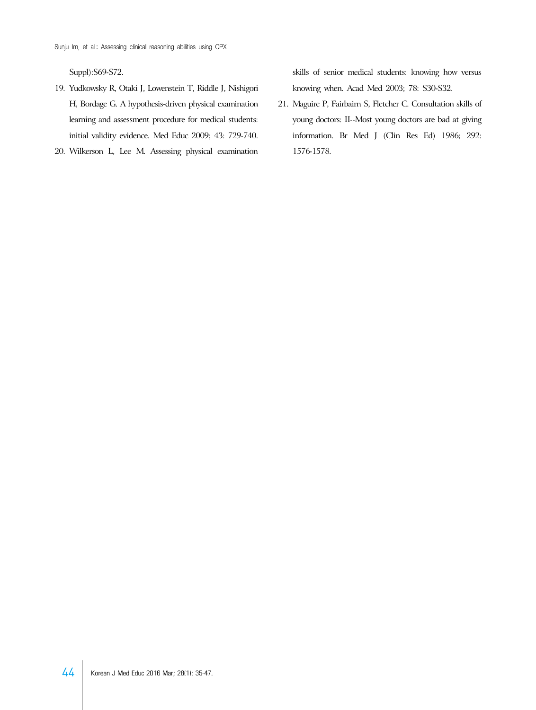Suppl):S69-S72.

- 19. Yudkowsky R, Otaki J, Lowenstein T, Riddle J, Nishigori H, Bordage G. A hypothesis-driven physical examination learning and assessment procedure for medical students: initial validity evidence. Med Educ 2009; 43: 729-740.
- 20. Wilkerson L, Lee M. Assessing physical examination

skills of senior medical students: knowing how versus knowing when. Acad Med 2003; 78: S30-S32.

21. Maguire P, Fairbairn S, Fletcher C. Consultation skills of young doctors: II--Most young doctors are bad at giving information. Br Med J (Clin Res Ed) 1986; 292: 1576-1578.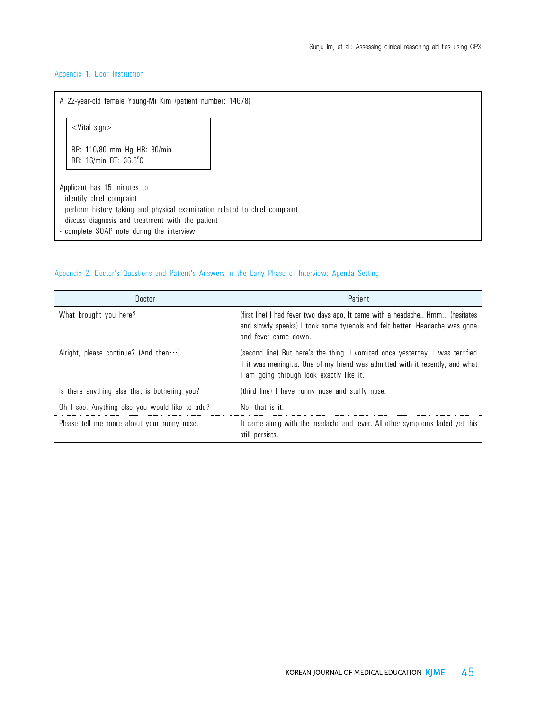#### Appendix 1. Door Instruction

A 22-year-old female Young-Mi Kim (patient number: 14678) <Vital sign> BP: 110/80 mm Hg HR: 80/min RR: 16/min BT: 36.8°C Applicant has 15 minutes to - identify chief complaint - perform history taking and physical examination related to chief complaint - discuss diagnosis and treatment with the patient - complete SOAP note during the interview

#### Appendix 2. Doctor's Questions and Patient's Answers in the Early Phase of Interview: Agenda Setting

| Doctor                                         | Patient                                                                                                                                                                                                   |  |  |
|------------------------------------------------|-----------------------------------------------------------------------------------------------------------------------------------------------------------------------------------------------------------|--|--|
| What brought you here?                         | (first line) I had fever two days ago, It came with a headache Hmm (hesitates<br>and slowly speaks) I took some tyrenols and felt better. Headache was gone<br>and fever came down.                       |  |  |
| Alright, please continue? (And then $\cdots$ ) | (second line) But here's the thing. I vomited once yesterday. I was terrified<br>if it was meningitis. One of my friend was admitted with it recently, and what<br>am going through look exactly like it. |  |  |
| Is there anything else that is bothering you?  | (third line) I have runny nose and stuffy nose.                                                                                                                                                           |  |  |
| Oh I see. Anything else you would like to add? | No, that is it.                                                                                                                                                                                           |  |  |
| Please tell me more about your runny nose.     | It came along with the headache and fever. All other symptoms faded yet this<br>still persists.                                                                                                           |  |  |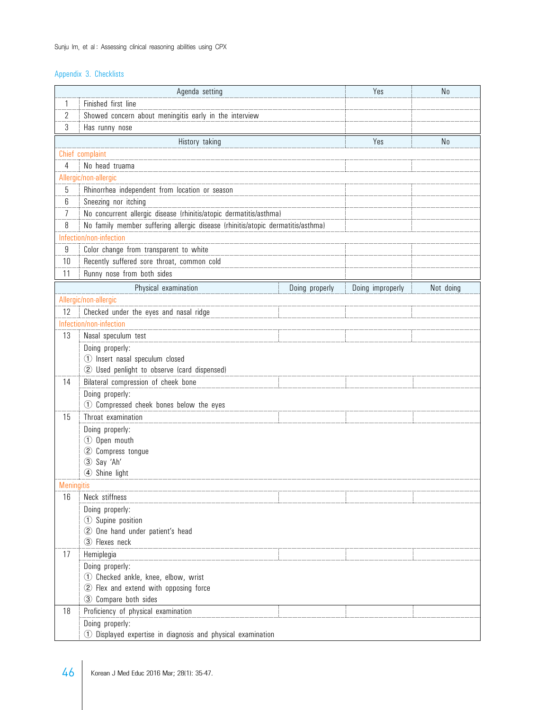## Appendix 3. Checklists

|                         | Agenda setting                                                                  |                | Yes              | N <sub>0</sub> |
|-------------------------|---------------------------------------------------------------------------------|----------------|------------------|----------------|
| 1                       | Finished first line                                                             |                |                  |                |
| 2                       | Showed concern about meningitis early in the interview                          |                |                  |                |
| 3                       | Has runny nose                                                                  |                |                  |                |
|                         | History taking                                                                  |                | Yes              | N <sub>0</sub> |
|                         | Chief complaint                                                                 |                |                  |                |
| 4                       | No head truama                                                                  |                |                  |                |
|                         | Allergic/non-allergic                                                           |                |                  |                |
| 5                       | Rhinorrhea independent from location or season                                  |                |                  |                |
| 6                       | Sneezing nor itching                                                            |                |                  |                |
| 7                       | No concurrent allergic disease (rhinitis/atopic dermatitis/asthma)              |                |                  |                |
| 8                       | No family member suffering allergic disease (rhinitis/atopic dermatitis/asthma) |                |                  |                |
|                         | Infection/non-infection                                                         |                |                  |                |
| 9                       | Color change from transparent to white                                          |                |                  |                |
| 10                      | Recently suffered sore throat, common cold                                      |                |                  |                |
| 11                      | Runny nose from both sides                                                      |                |                  |                |
|                         | Physical examination                                                            | Doing properly | Doing improperly | Not doing      |
|                         | Allergic/non-allergic                                                           |                |                  |                |
| 12                      | Checked under the eyes and nasal ridge                                          |                |                  |                |
|                         | Infection/non-infection                                                         |                |                  |                |
| 13                      | Nasal speculum test                                                             |                |                  |                |
|                         | Doing properly:                                                                 |                |                  |                |
|                         | 1 Insert nasal speculum closed                                                  |                |                  |                |
|                         | 2 Used penlight to observe (card dispensed)                                     |                |                  |                |
| 14                      | Bilateral compression of cheek bone                                             |                |                  |                |
|                         | Doing properly:                                                                 |                |                  |                |
|                         | 1 Compressed cheek bones below the eyes                                         |                |                  |                |
| 15                      | Throat examination                                                              |                |                  |                |
|                         | Doing properly:                                                                 |                |                  |                |
|                         | 1 Open mouth                                                                    |                |                  |                |
|                         | 2 Compress tongue                                                               |                |                  |                |
|                         | 3 Say 'Ah'                                                                      |                |                  |                |
|                         | 4 Shine light                                                                   |                |                  |                |
| <b>Meningitis</b><br>16 | Neck stiffness                                                                  |                |                  |                |
|                         | Doing properly:                                                                 |                |                  |                |
|                         | 1 Supine position                                                               |                |                  |                |
|                         | 2 One hand under patient's head                                                 |                |                  |                |
|                         | 3) Flexes neck                                                                  |                |                  |                |
| 17                      | Hemiplegia                                                                      |                |                  |                |
|                         | Doing properly:                                                                 |                |                  |                |
|                         | 1 Checked ankle, knee, elbow, wrist                                             |                |                  |                |
|                         | 2 Flex and extend with opposing force                                           |                |                  |                |
|                         | 3 Compare both sides                                                            |                |                  |                |
| 18                      | Proficiency of physical examination                                             |                |                  |                |
|                         | Doing properly:                                                                 |                |                  |                |
|                         | 1) Displayed expertise in diagnosis and physical examination                    |                |                  |                |